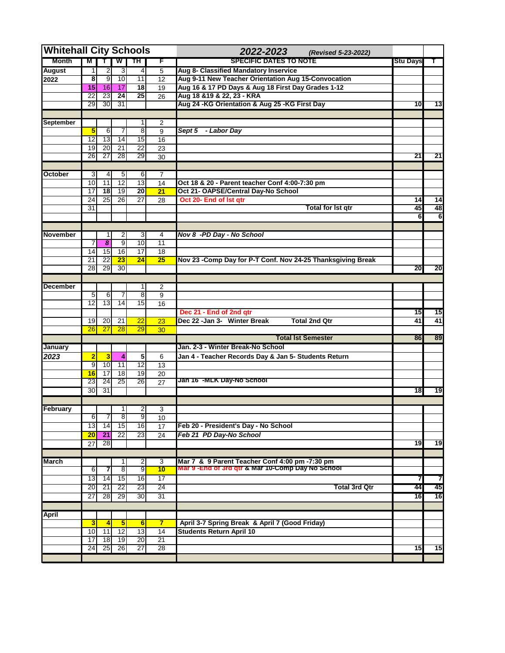| <b>Whitehall City Schools</b> |                         |                                  |                         |                   |                  | 2022-2023<br>(Revised 5-23-2022)                             |                 |                 |
|-------------------------------|-------------------------|----------------------------------|-------------------------|-------------------|------------------|--------------------------------------------------------------|-----------------|-----------------|
| <b>Month</b>                  | M                       | 7                                | $\mathbf w$             | ™                 | F                | <b>SPECIFIC DATES TO NOTE</b>                                | <b>Stu Days</b> | T.              |
| <b>August</b>                 | $\mathbf{1}$            | $\overline{2}$                   | 3                       | $\vert 4 \vert$   | 5                | Aug 8- Classified Mandatory Inservice                        |                 |                 |
| 2022                          | $\overline{\mathbf{8}}$ | $\overline{9}$                   | 10                      | 11                | 12               | Aug 9-11 New Teacher Orientation Aug 15-Convocation          |                 |                 |
|                               | 15                      | 16                               | 17                      | $\overline{18}$   | 19               | Aug 16 & 17 PD Days & Aug 18 First Day Grades 1-12           |                 |                 |
|                               | $\overline{22}$         | 23                               | $\overline{24}$         | $\overline{25}$   | 26               | Aug 18 & 19 & 22, 23 - KRA                                   |                 |                 |
|                               | 29                      | 30                               | 31                      |                   |                  | Aug 24 -KG Orientation & Aug 25 -KG First Day                | 10 <sup>1</sup> | 13              |
|                               |                         |                                  |                         |                   |                  |                                                              |                 |                 |
| <b>September</b>              |                         |                                  |                         | 1                 | 2                |                                                              |                 |                 |
|                               | 5                       | 6                                | 7                       | 8 <sup>1</sup>    | 9                | Sept 5 - Labor Day                                           |                 |                 |
|                               | 12                      | $\overline{13}$                  | 14                      | 15                | 16               |                                                              |                 |                 |
|                               | 19                      | 20                               | $\overline{21}$         | $\overline{22}$   | 23               |                                                              |                 |                 |
|                               | 26                      | 27                               | 28                      | 29                | 30               |                                                              | $\overline{21}$ | $\overline{21}$ |
|                               |                         |                                  |                         |                   |                  |                                                              |                 |                 |
| October                       | 3                       | 4                                | 5                       | $6 \mid$          | 7                |                                                              |                 |                 |
|                               | 10                      | 11                               | 12                      | 13                | 14               | Oct 18 & 20 - Parent teacher Conf 4:00-7:30 pm               |                 |                 |
|                               | 17<br>$\overline{24}$   | $\overline{18}$<br>25            | $\overline{19}$<br>26   | $\overline{20}$   | 21               | Oct 21- OAPSE/Central Day-No School                          |                 |                 |
|                               |                         |                                  |                         | 27                | 28               | Oct 20- End of Ist qtr<br><b>Total for Ist gtr</b>           | 14<br>45        | 14<br>48        |
|                               | 31                      |                                  |                         |                   |                  |                                                              | $\overline{6}$  | 6               |
|                               |                         |                                  |                         |                   |                  |                                                              |                 |                 |
| November                      |                         |                                  |                         |                   |                  |                                                              |                 |                 |
|                               |                         | 1<br>$\overline{\boldsymbol{8}}$ | 2<br>$\overline{9}$     | 3<br>10           | 4<br>11          | Nov 8 -PD Day - No School                                    |                 |                 |
|                               | 7<br>14                 | 15                               | 16                      | 17                | $\overline{18}$  |                                                              |                 |                 |
|                               | 21                      | 22                               | 23                      | 24                | 25               | Nov 23 - Comp Day for P-T Conf. Nov 24-25 Thanksgiving Break |                 |                 |
|                               | 28                      | 29                               | 30                      |                   |                  |                                                              | 20              | 20              |
|                               |                         |                                  |                         |                   |                  |                                                              |                 |                 |
| <b>December</b>               |                         |                                  |                         | 1                 | $\overline{c}$   |                                                              |                 |                 |
|                               | 5                       | 6                                | 7                       | 8 <sup>1</sup>    | $\boldsymbol{9}$ |                                                              |                 |                 |
|                               | 12                      | 13                               | 14                      | 15                | 16               |                                                              |                 |                 |
|                               |                         |                                  |                         |                   |                  | Dec 21 - End of 2nd qtr                                      | 15              | 15              |
|                               | 19                      | 20                               | 21                      | 22                | 23               | <b>Total 2nd Qtr</b><br>Dec 22 -Jan 3- Winter Break          | 41              | 41              |
|                               | 26                      | 27                               | 28                      | 29                | 30               |                                                              |                 |                 |
|                               |                         |                                  |                         |                   |                  | <b>Total Ist Semester</b>                                    | 86              | 89              |
| January                       |                         |                                  |                         |                   |                  | Jan. 2-3 - Winter Break-No School                            |                 |                 |
| 2023                          | $\overline{2}$          | $\overline{\mathbf{3}}$          | 4                       | 5                 | 6                | Jan 4 - Teacher Records Day & Jan 5- Students Return         |                 |                 |
|                               | $\overline{9}$          | 10                               | 11                      | 12                | 13               |                                                              |                 |                 |
|                               | 16                      | $\overline{17}$                  | $\overline{18}$         | 19                | 20               |                                                              |                 |                 |
|                               | 23                      | 24                               | 25                      | 26                | 27               | Jan 16  -MLK Day-No School                                   |                 |                 |
|                               | 30                      | 31                               |                         |                   |                  |                                                              | 18              | 19              |
|                               |                         |                                  |                         |                   |                  |                                                              |                 |                 |
| February                      |                         |                                  | 1                       | $\mathsf{2}\vert$ | 3                |                                                              |                 |                 |
|                               | 6                       | $\prime$                         | 8                       | 9                 | 10               |                                                              |                 |                 |
|                               | 13                      | 14                               | 15                      | 16                | 17               | Feb 20 - President's Day - No School                         |                 |                 |
|                               | 20                      | 21                               | 22                      | $\overline{23}$   | 24               | Feb 21 PD Day-No School                                      |                 |                 |
|                               | 27                      | 28                               |                         |                   |                  |                                                              | 19              | 19              |
|                               |                         |                                  |                         |                   |                  |                                                              |                 |                 |
| March                         |                         |                                  | 1                       | 2                 | 3                | Mar 7 & 9 Parent Teacher Conf 4:00 pm -7:30 pm               |                 |                 |
|                               | 6                       | 7                                | $\overline{8}$          | 9                 | 10               | Mar 9 - End of 3rd gtr & Mar 10-Comp Day No School           |                 |                 |
|                               | 13                      | 14                               | 15                      | 16                | 17               |                                                              | 7               | 7               |
|                               | 20                      | 21                               | 22                      | 23                | 24               | <b>Total 3rd Qtr</b>                                         | 44              | 45              |
|                               | 27                      | 28                               | 29                      | 30 <sup>°</sup>   | 31               |                                                              | 16              | 16              |
|                               |                         |                                  |                         |                   |                  |                                                              |                 |                 |
| April                         |                         |                                  |                         |                   |                  |                                                              |                 |                 |
|                               | $\overline{\mathbf{3}}$ | $\overline{4}$                   | $\overline{\mathbf{5}}$ | 6                 | $\overline{7}$   | April 3-7 Spring Break & April 7 (Good Friday)               |                 |                 |
|                               | 10                      | 11                               | $\overline{12}$         | 13                | 14               | <b>Students Return April 10</b>                              |                 |                 |
|                               | 17                      | 18                               | 19                      | 20                | 21               |                                                              |                 |                 |
|                               | 24                      | 25                               | 26                      | $\overline{27}$   | 28               |                                                              | 15              | 15              |
|                               |                         |                                  |                         |                   |                  |                                                              |                 |                 |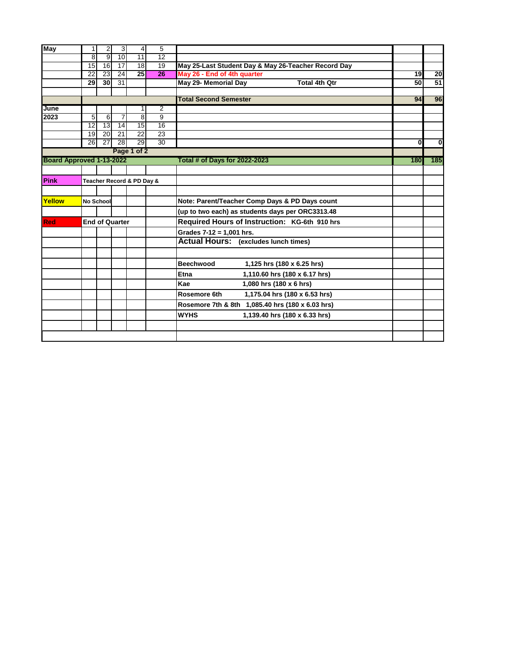| May                      |                       | $\overline{c}$        | 3                     | $\vert$                   | 5                                  |                                                     |                         |             |
|--------------------------|-----------------------|-----------------------|-----------------------|---------------------------|------------------------------------|-----------------------------------------------------|-------------------------|-------------|
|                          | 8                     | 9                     | 10                    | $\overline{11}$           | 12                                 |                                                     |                         |             |
|                          | 15                    | $\overline{16}$       | 17                    | 18                        | 19                                 | May 25-Last Student Day & May 26-Teacher Record Day |                         |             |
|                          | 22                    | 23                    | $\overline{24}$       | $\overline{25}$           | 26                                 | May 26 - End of 4th quarter                         | 19                      | 20          |
|                          | 29                    | 30                    | 31                    |                           |                                    | May 29- Memorial Day<br><b>Total 4th Qtr</b>        | 50                      | 51          |
|                          |                       |                       |                       |                           |                                    |                                                     |                         |             |
|                          |                       |                       |                       |                           |                                    | <b>Total Second Semester</b>                        | 94                      | 96          |
| June                     |                       |                       |                       |                           | $\overline{2}$                     |                                                     |                         |             |
| 2023                     | 5                     | 6                     | 7                     | $\frac{8}{2}$             | 9                                  |                                                     |                         |             |
|                          | $\overline{12}$<br>19 | 13<br>$\overline{20}$ | 14<br>$\overline{21}$ | 15<br>$\overline{22}$     | $\overline{16}$<br>$\overline{23}$ |                                                     |                         |             |
|                          | $\overline{26}$       | $\overline{27}$       | $\overline{28}$       | 29                        | $\overline{30}$                    |                                                     | $\overline{\mathbf{0}}$ | $\mathbf 0$ |
|                          |                       |                       |                       | Page 1 of 2               |                                    |                                                     |                         |             |
| Board Approved 1-13-2022 |                       |                       |                       |                           |                                    | Total # of Days for 2022-2023                       | 180                     | 185         |
|                          |                       |                       |                       |                           |                                    |                                                     |                         |             |
|                          |                       |                       |                       |                           |                                    |                                                     |                         |             |
| Pink                     |                       |                       |                       | Teacher Record & PD Day & |                                    |                                                     |                         |             |
|                          |                       |                       |                       |                           |                                    |                                                     |                         |             |
| Yellow                   | No School             |                       |                       |                           |                                    | Note: Parent/Teacher Comp Days & PD Days count      |                         |             |
|                          |                       |                       |                       |                           |                                    | (up to two each) as students days per ORC3313.48    |                         |             |
| <b>Red</b>               |                       |                       | <b>End of Quarter</b> |                           |                                    | Required Hours of Instruction: KG-6th 910 hrs       |                         |             |
|                          |                       |                       |                       |                           |                                    | Grades $7-12 = 1,001$ hrs.                          |                         |             |
|                          |                       |                       |                       |                           |                                    | <b>Actual Hours:</b> (excludes lunch times)         |                         |             |
|                          |                       |                       |                       |                           |                                    |                                                     |                         |             |
|                          |                       |                       |                       |                           |                                    | <b>Beechwood</b><br>1,125 hrs (180 x 6.25 hrs)      |                         |             |
|                          |                       |                       |                       |                           |                                    | Etna<br>1,110.60 hrs (180 x 6.17 hrs)               |                         |             |
|                          |                       |                       |                       |                           |                                    | Kae<br>1,080 hrs (180 x 6 hrs)                      |                         |             |
|                          |                       |                       |                       |                           |                                    | Rosemore 6th<br>1,175.04 hrs (180 x 6.53 hrs)       |                         |             |
|                          |                       |                       |                       |                           |                                    | Rosemore 7th & 8th 1,085.40 hrs (180 x 6.03 hrs)    |                         |             |
|                          |                       |                       |                       |                           |                                    | <b>WYHS</b><br>1,139.40 hrs (180 x 6.33 hrs)        |                         |             |
|                          |                       |                       |                       |                           |                                    |                                                     |                         |             |
|                          |                       |                       |                       |                           |                                    |                                                     |                         |             |